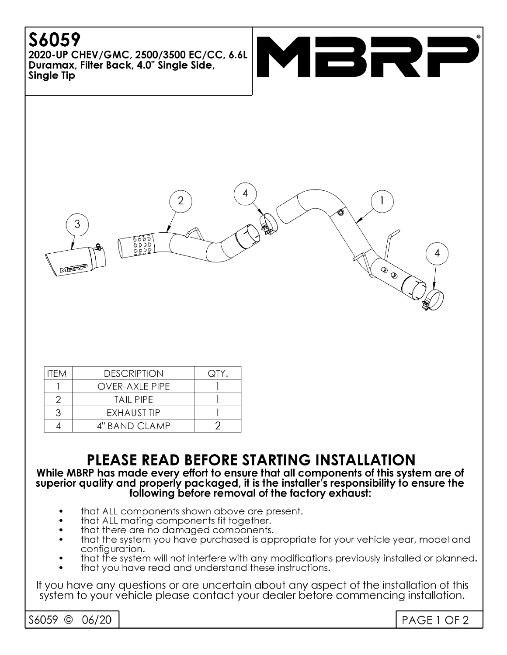# S6059

2020-UP CHEV/GMC, 2500/3500 EC/CC, 6.6L Duramax, Filter Back, 4.0" Sinale Side, Single Tip



| ITFM | <b>DESCRIPTION</b>    | QTY. |
|------|-----------------------|------|
|      | <b>OVER-AXLE PIPE</b> |      |
| 2    | <b>TAIL PIPE</b>      |      |
| 3    | EXHAUST TIP           |      |
|      | 4" BAND CLAMP         |      |

# PLEASE READ BEFORE STARTING INSTALLATION

#### While MBRP has made every effort to ensure that all components of this system are of superior quality and properly packaged, it is the installer's responsibility to ensure the following before removal of the factory exhaust:

- that ALL components shown above are present.
- that ALL mating components fit together.
- that there are no damaged components.
- that the system you have purchased is appropriate for your vehicle year, model and configuration.
- that the system will not interfere with any modifications previously installed or planned.
- that you have read and understand these instructions.

If you have any questions or are uncertain about any aspect of the installation of this system to your vehicle please contact your dealer before commencing installation.